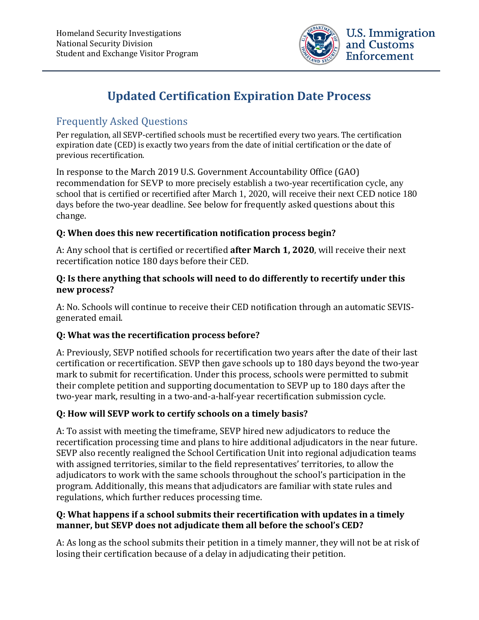

# **Updated Certification Expiration Date Process**

# Frequently Asked Questions

Per regulation, all SEVP-certified schools must be recertified every two years. The certification expiration date (CED) is exactly two years from the date of initial certification or the date of previous recertification.

In response to the March 2019 U.S. Government Accountability Office (GAO) recommendation for SEVP to more precisely establish a two-year recertification cycle, any school that is certified or recertified after March 1, 2020, will receive their next CED notice 180 days before the two-year deadline. See below for frequently asked questions about this change.

#### **Q: When does this new recertification notification process begin?**

A: Any school that is certified or recertified **after March 1, 2020**, will receive their next recertification notice 180 days before their CED.

#### **Q: Is there anything that schools will need to do differently to recertify under this new process?**

A: No. Schools will continue to receive their CED notification through an automatic SEVISgenerated email.

## **Q: What was the recertification process before?**

A: Previously, SEVP notified schools for recertification two years after the date of their last certification or recertification. SEVP then gave schools up to 180 days beyond the two-year mark to submit for recertification. Under this process, schools were permitted to submit their complete petition and supporting documentation to SEVP up to 180 days after the two-year mark, resulting in a two-and-a-half-year recertification submission cycle.

## **Q: How will SEVP work to certify schools on a timely basis?**

A: To assist with meeting the timeframe, SEVP hired new adjudicators to reduce the recertification processing time and plans to hire additional adjudicators in the near future. SEVP also recently realigned the School Certification Unit into regional adjudication teams with assigned territories, similar to the field representatives' territories, to allow the adjudicators to work with the same schools throughout the school's participation in the program. Additionally, this means that adjudicators are familiar with state rules and regulations, which further reduces processing time.

#### **Q: What happens if a school submits their recertification with updates in a timely manner, but SEVP does not adjudicate them all before the school's CED?**

A: As long as the school submits their petition in a timely manner, they will not be at risk of losing their certification because of a delay in adjudicating their petition.